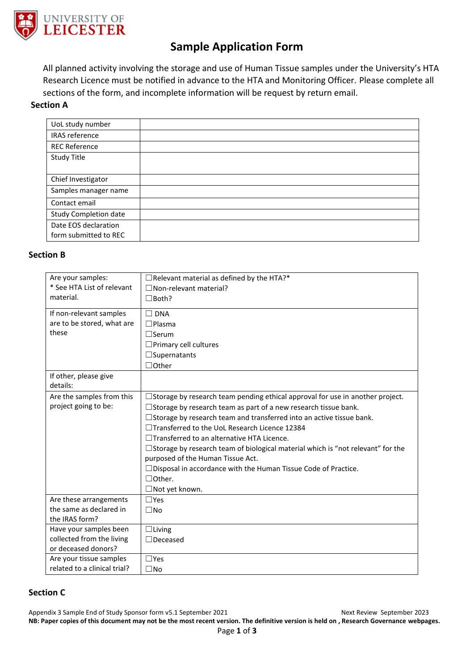

# **Sample Application Form**

All planned activity involving the storage and use of Human Tissue samples under the University's HTA Research Licence must be notified in advance to the HTA and Monitoring Officer. Please complete all sections of the form, and incomplete information will be request by return email.

# **Section A**

| UoL study number      |  |
|-----------------------|--|
| <b>IRAS</b> reference |  |
| <b>REC Reference</b>  |  |
|                       |  |
| Study Title           |  |
|                       |  |
| Chief Investigator    |  |
| Samples manager name  |  |
| Contact email         |  |
| Study Completion date |  |
| Date EOS declaration  |  |
| form submitted to REC |  |
|                       |  |

## **Section B**

| Are your samples:<br>* See HTA List of relevant<br>material.<br>If non-relevant samples<br>are to be stored, what are<br>these | $\Box$ Relevant material as defined by the HTA?*<br>$\Box$ Non-relevant material?<br>$\Box$ Both?<br>$\Box$ DNA<br>$\Box$ Plasma<br>$\Box$ Serum                                                                                                                                                                                                                                                                                                                                                                                                                                                     |
|--------------------------------------------------------------------------------------------------------------------------------|------------------------------------------------------------------------------------------------------------------------------------------------------------------------------------------------------------------------------------------------------------------------------------------------------------------------------------------------------------------------------------------------------------------------------------------------------------------------------------------------------------------------------------------------------------------------------------------------------|
|                                                                                                                                | $\Box$ Primary cell cultures<br>$\Box$ Supernatants                                                                                                                                                                                                                                                                                                                                                                                                                                                                                                                                                  |
| If other, please give<br>details:                                                                                              | $\Box$ Other                                                                                                                                                                                                                                                                                                                                                                                                                                                                                                                                                                                         |
| Are the samples from this<br>project going to be:                                                                              | $\Box$ Storage by research team pending ethical approval for use in another project.<br>$\square$ Storage by research team as part of a new research tissue bank.<br>□ Storage by research team and transferred into an active tissue bank.<br>□Transferred to the UoL Research Licence 12384<br>$\Box$ Transferred to an alternative HTA Licence.<br>$\Box$ Storage by research team of biological material which is "not relevant" for the<br>purposed of the Human Tissue Act.<br>$\Box$ Disposal in accordance with the Human Tissue Code of Practice.<br>$\Box$ Other.<br>$\Box$ Not yet known. |
| Are these arrangements<br>the same as declared in<br>the IRAS form?                                                            | $\Box$ Yes<br>$\square$ No                                                                                                                                                                                                                                                                                                                                                                                                                                                                                                                                                                           |
| Have your samples been<br>collected from the living<br>or deceased donors?                                                     | $\Box$ Living<br>$\exists$ Deceased                                                                                                                                                                                                                                                                                                                                                                                                                                                                                                                                                                  |
| Are your tissue samples<br>related to a clinical trial?                                                                        | $\Box$ Yes<br>$\square$ No                                                                                                                                                                                                                                                                                                                                                                                                                                                                                                                                                                           |

#### **Section C**

Appendix 3 Sample End of Study Sponsor form v5.1 September 2021 Next Review September 2023 **NB: Paper copies of this document may not be the most recent version. The definitive version is held on , Research Governance webpages.**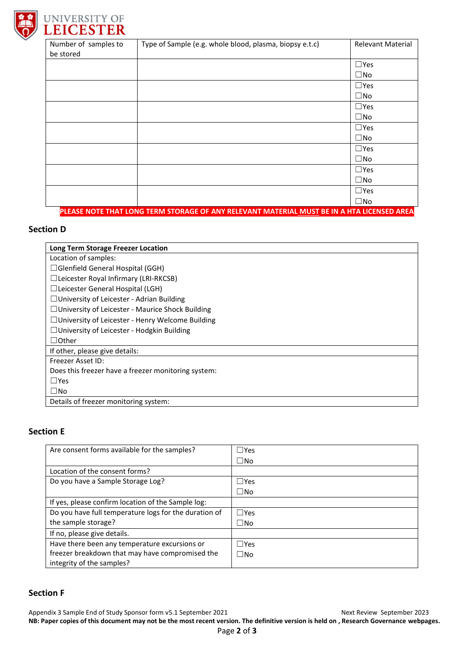



| Number of samples to                                                                       | Type of Sample (e.g. whole blood, plasma, biopsy e.t.c) | <b>Relevant Material</b> |
|--------------------------------------------------------------------------------------------|---------------------------------------------------------|--------------------------|
| be stored                                                                                  |                                                         |                          |
|                                                                                            |                                                         | $\square$ Yes            |
|                                                                                            |                                                         | $\square$ No             |
|                                                                                            |                                                         | $\square$ Yes            |
|                                                                                            |                                                         | $\square$ No             |
|                                                                                            |                                                         | $\square$ Yes            |
|                                                                                            |                                                         | $\square$ No             |
|                                                                                            |                                                         | $\square$ Yes            |
|                                                                                            |                                                         | $\square$ No             |
|                                                                                            |                                                         | $\square$ Yes            |
|                                                                                            |                                                         | $\square$ No             |
|                                                                                            |                                                         | $\square$ Yes            |
|                                                                                            |                                                         | $\square$ No             |
|                                                                                            |                                                         | $\square$ Yes            |
|                                                                                            |                                                         | $\square$ No             |
| PLEASE NOTE THAT LONG TERM STORAGE OF ANY RELEVANT MATERIAL MUST BE IN A HTA LICENSED AREA |                                                         |                          |

## **Section D**

| Long Term Storage Freezer Location                      |  |
|---------------------------------------------------------|--|
| Location of samples:                                    |  |
| $\Box$ Glenfield General Hospital (GGH)                 |  |
| $\Box$ Leicester Royal Infirmary (LRI-RKCSB)            |  |
| $\Box$ Leicester General Hospital (LGH)                 |  |
| □ University of Leicester - Adrian Building             |  |
| $\Box$ University of Leicester - Maurice Shock Building |  |
| $\Box$ University of Leicester - Henry Welcome Building |  |
| □ University of Leicester - Hodgkin Building            |  |
| $\Box$ Other                                            |  |
| If other, please give details:                          |  |
| Freezer Asset ID:                                       |  |
| Does this freezer have a freezer monitoring system:     |  |
| $\square$ Yes                                           |  |
| $\square$ No                                            |  |
| Details of freezer monitoring system:                   |  |

# **Section E**

| Are consent forms available for the samples?          | $\Box$ Yes |
|-------------------------------------------------------|------------|
|                                                       |            |
|                                                       | $\Box$ No  |
| Location of the consent forms?                        |            |
| Do you have a Sample Storage Log?                     | $\Box$ Yes |
|                                                       | $\Box$ No  |
| If yes, please confirm location of the Sample log:    |            |
| Do you have full temperature logs for the duration of | $\Box$ Yes |
| the sample storage?                                   | $\Box$ No  |
| If no, please give details.                           |            |
| Have there been any temperature excursions or         | $\Box$ Yes |
| freezer breakdown that may have compromised the       | $\Box$ No  |
| integrity of the samples?                             |            |

# **Section F**

Appendix 3 Sample End of Study Sponsor form v5.1 September 2021 Next Review September 2023 **NB: Paper copies of this document may not be the most recent version. The definitive version is held on , Research Governance webpages.**